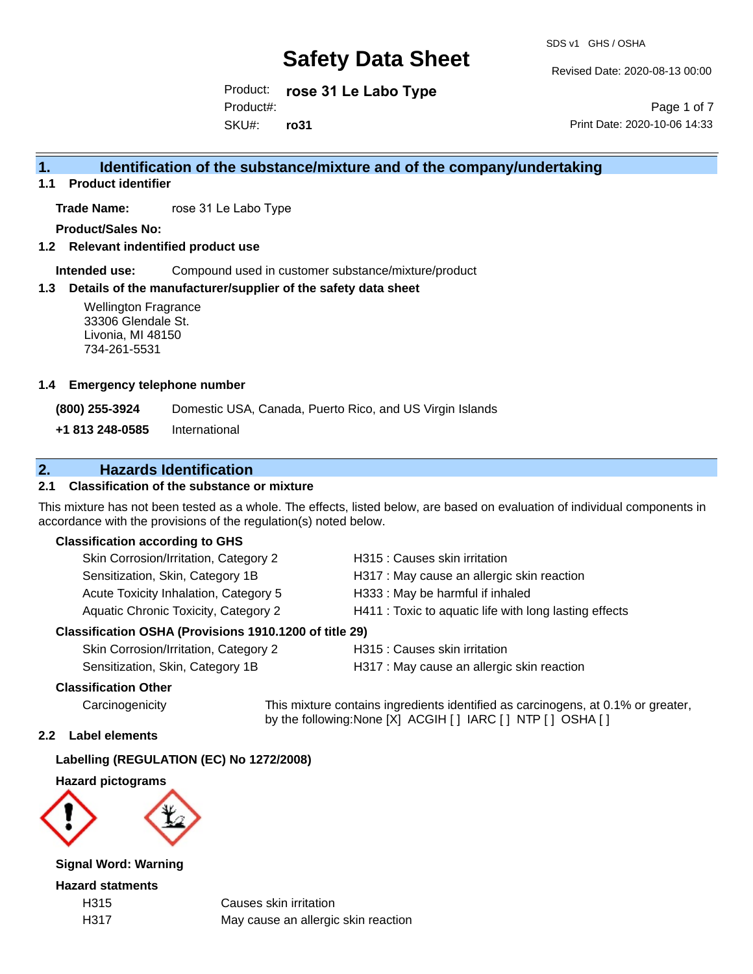SDS v1 GHS / OSHA

Revised Date: 2020-08-13 00:00

Product: **rose 31 Le Labo Type** SKU#: Product#: **ro31**

Page 1 of 7 Print Date: 2020-10-06 14:33

## **1. Identification of the substance/mixture and of the company/undertaking**

**1.1 Product identifier**

**Trade Name:** rose 31 Le Labo Type

**Product/Sales No:**

**1.2 Relevant indentified product use**

**Intended use:** Compound used in customer substance/mixture/product

#### **1.3 Details of the manufacturer/supplier of the safety data sheet**

Wellington Fragrance 33306 Glendale St. Livonia, MI 48150 734-261-5531

#### **1.4 Emergency telephone number**

**(800) 255-3924** Domestic USA, Canada, Puerto Rico, and US Virgin Islands

**+1 813 248-0585** International

### **2. Hazards Identification**

#### **2.1 Classification of the substance or mixture**

This mixture has not been tested as a whole. The effects, listed below, are based on evaluation of individual components in accordance with the provisions of the regulation(s) noted below.

#### **Classification according to GHS**

| Skin Corrosion/Irritation, Category 2                                                                                                                                                                                                                                                                                          | H315 : Causes skin irritation                          |
|--------------------------------------------------------------------------------------------------------------------------------------------------------------------------------------------------------------------------------------------------------------------------------------------------------------------------------|--------------------------------------------------------|
| Sensitization, Skin, Category 1B                                                                                                                                                                                                                                                                                               | H317 : May cause an allergic skin reaction             |
| Acute Toxicity Inhalation, Category 5                                                                                                                                                                                                                                                                                          | H333: May be harmful if inhaled                        |
| Aquatic Chronic Toxicity, Category 2                                                                                                                                                                                                                                                                                           | H411 : Toxic to aquatic life with long lasting effects |
| $\mathbf{A} \mathbf{A} \mathbf{A}$ $\mathbf{A} \mathbf{A}$ $\mathbf{A} \mathbf{A}$ $\mathbf{A} \mathbf{A}$ $\mathbf{A} \mathbf{A}$ $\mathbf{A} \mathbf{A}$ $\mathbf{A} \mathbf{A}$ $\mathbf{A} \mathbf{A} \mathbf{A}$ $\mathbf{A} \mathbf{A} \mathbf{A}$ $\mathbf{A} \mathbf{A} \mathbf{A}$ $\mathbf{A} \mathbf{A} \mathbf{A}$ |                                                        |

#### **Classification OSHA (Provisions 1910.1200 of title 29)**

| Skin Corrosion/Irritation, Category 2 |
|---------------------------------------|
| Sensitization, Skin, Category 1B      |

H315 : Causes skin irritation

H317 : May cause an allergic skin reaction

#### **Classification Other**

Carcinogenicity This mixture contains ingredients identified as carcinogens, at 0.1% or greater, by the following:None [X] ACGIH [ ] IARC [ ] NTP [ ] OSHA [ ]

#### **2.2 Label elements**

#### **Labelling (REGULATION (EC) No 1272/2008)**

**Hazard pictograms**



**Signal Word: Warning**

**Hazard statments**

H315 Causes skin irritation H317 May cause an allergic skin reaction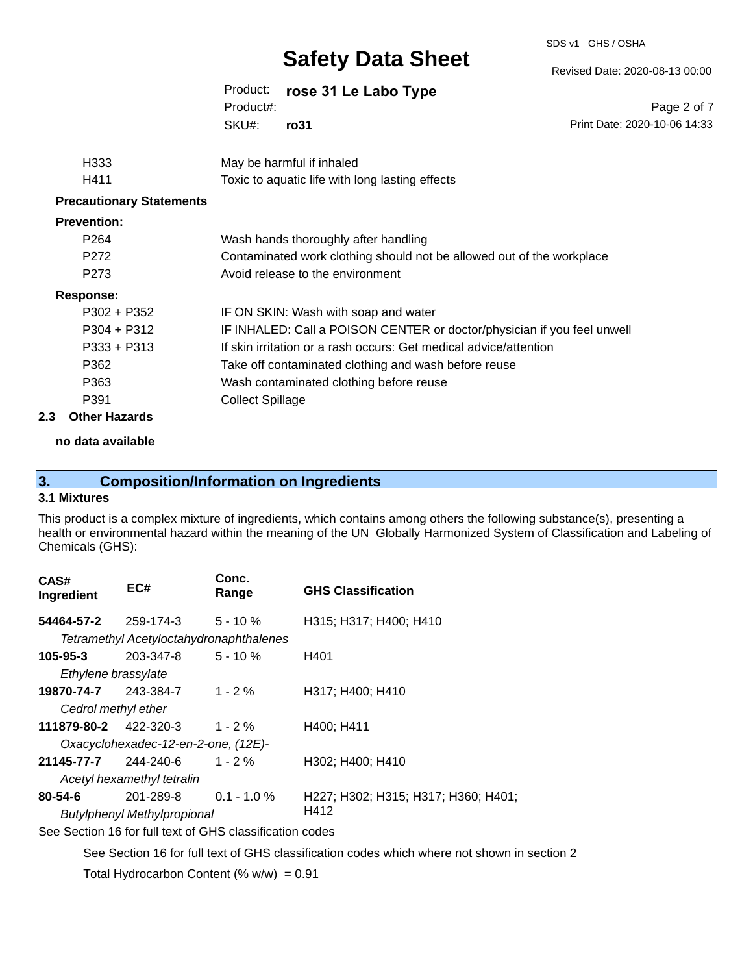SDS v1 GHS / OSHA

Revised Date: 2020-08-13 00:00

Print Date: 2020-10-06 14:33

Page 2 of 7

## Product: **rose 31 Le Labo Type** Product#:

SKU#: **ro31**

|     | H333                            | May be harmful if inhaled                                               |
|-----|---------------------------------|-------------------------------------------------------------------------|
|     | H411                            | Toxic to aquatic life with long lasting effects                         |
|     | <b>Precautionary Statements</b> |                                                                         |
|     | <b>Prevention:</b>              |                                                                         |
|     | P <sub>264</sub>                | Wash hands thoroughly after handling                                    |
|     | P <sub>272</sub>                | Contaminated work clothing should not be allowed out of the workplace   |
|     | P <sub>273</sub>                | Avoid release to the environment                                        |
|     | <b>Response:</b>                |                                                                         |
|     | P302 + P352                     | IF ON SKIN: Wash with soap and water                                    |
|     | $P304 + P312$                   | IF INHALED: Call a POISON CENTER or doctor/physician if you feel unwell |
|     | $P333 + P313$                   | If skin irritation or a rash occurs: Get medical advice/attention       |
|     | P362                            | Take off contaminated clothing and wash before reuse                    |
|     | P363                            | Wash contaminated clothing before reuse                                 |
|     | P391                            | <b>Collect Spillage</b>                                                 |
| 2.3 | <b>Other Hazards</b>            |                                                                         |

**no data available**

## **3. Composition/Information on Ingredients**

#### **3.1 Mixtures**

This product is a complex mixture of ingredients, which contains among others the following substance(s), presenting a health or environmental hazard within the meaning of the UN Globally Harmonized System of Classification and Labeling of Chemicals (GHS):

| CAS#<br>Ingredient                  | EC#                                                      | Conc.<br>Range | <b>GHS Classification</b>           |
|-------------------------------------|----------------------------------------------------------|----------------|-------------------------------------|
| 54464-57-2                          | 259-174-3                                                | $5 - 10 \%$    | H315: H317: H400: H410              |
|                                     | Tetramethyl Acetyloctahydronaphthalenes                  |                |                                     |
| 105-95-3                            | 203-347-8                                                | $5 - 10 \%$    | H401                                |
| Ethylene brassylate                 |                                                          |                |                                     |
| 19870-74-7                          | 243-384-7                                                | $1 - 2 \%$     | H317; H400; H410                    |
| Cedrol methyl ether                 |                                                          |                |                                     |
| <b>111879-80-2</b> 422-320-3        |                                                          | 1 - 2 $%$      | H400; H411                          |
| Oxacyclohexadec-12-en-2-one, (12E)- |                                                          |                |                                     |
| 21145-77-7                          | 244-240-6                                                | $1 - 2 \%$     | H302; H400; H410                    |
|                                     | Acetyl hexamethyl tetralin                               |                |                                     |
| $80 - 54 - 6$                       | 201-289-8                                                | $0.1 - 1.0 \%$ | H227; H302; H315; H317; H360; H401; |
| <b>Butylphenyl Methylpropional</b>  |                                                          |                | H412                                |
|                                     | See Section 16 for full text of GHS classification codes |                |                                     |

See Section 16 for full text of GHS classification codes which where not shown in section 2

Total Hydrocarbon Content (%  $w/w$ ) = 0.91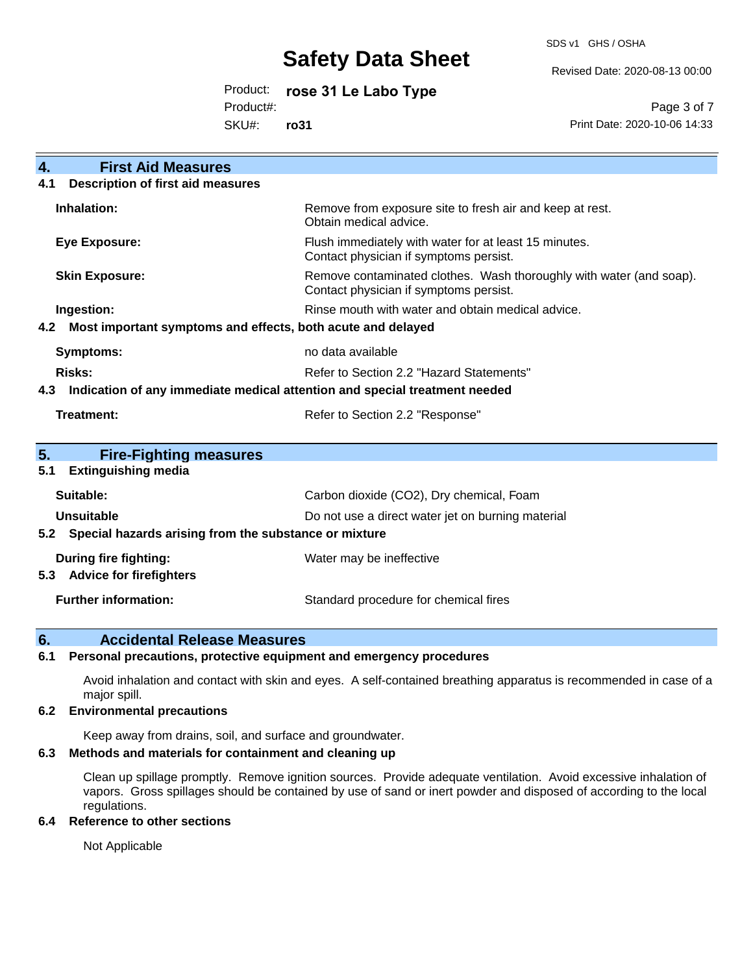SDS v1 GHS / OSHA

Revised Date: 2020-08-13 00:00

Product: **rose 31 Le Labo Type**

Product#:

SKU#: **ro31**

Page 3 of 7 Print Date: 2020-10-06 14:33

| <b>First Aid Measures</b><br>4.                                                                                         |                                                                                                               |  |  |
|-------------------------------------------------------------------------------------------------------------------------|---------------------------------------------------------------------------------------------------------------|--|--|
| <b>Description of first aid measures</b><br>4.1                                                                         |                                                                                                               |  |  |
| Inhalation:                                                                                                             | Remove from exposure site to fresh air and keep at rest.<br>Obtain medical advice.                            |  |  |
| Flush immediately with water for at least 15 minutes.<br><b>Eye Exposure:</b><br>Contact physician if symptoms persist. |                                                                                                               |  |  |
| <b>Skin Exposure:</b>                                                                                                   | Remove contaminated clothes. Wash thoroughly with water (and soap).<br>Contact physician if symptoms persist. |  |  |
| Ingestion:                                                                                                              | Rinse mouth with water and obtain medical advice.                                                             |  |  |
| Most important symptoms and effects, both acute and delayed<br>4.2                                                      |                                                                                                               |  |  |
| <b>Symptoms:</b>                                                                                                        | no data available                                                                                             |  |  |
| <b>Risks:</b><br>Refer to Section 2.2 "Hazard Statements"                                                               |                                                                                                               |  |  |
| Indication of any immediate medical attention and special treatment needed<br>4.3                                       |                                                                                                               |  |  |
| Treatment:                                                                                                              | Refer to Section 2.2 "Response"                                                                               |  |  |
| 5.<br><b>Fire-Fighting measures</b>                                                                                     |                                                                                                               |  |  |
| <b>Extinguishing media</b><br>5.1                                                                                       |                                                                                                               |  |  |
| Suitable:                                                                                                               | Carbon dioxide (CO2), Dry chemical, Foam                                                                      |  |  |
| Unsuitable                                                                                                              | Do not use a direct water jet on burning material                                                             |  |  |
| 5.2 Special hazards arising from the substance or mixture                                                               |                                                                                                               |  |  |
| During fire fighting:                                                                                                   | Water may be ineffective                                                                                      |  |  |
| <b>Advice for firefighters</b><br>5.3                                                                                   |                                                                                                               |  |  |
| <b>Further information:</b>                                                                                             | Standard procedure for chemical fires                                                                         |  |  |

### **6. Accidental Release Measures**

#### **6.1 Personal precautions, protective equipment and emergency procedures**

Avoid inhalation and contact with skin and eyes. A self-contained breathing apparatus is recommended in case of a major spill.

#### **6.2 Environmental precautions**

Keep away from drains, soil, and surface and groundwater.

#### **6.3 Methods and materials for containment and cleaning up**

Clean up spillage promptly. Remove ignition sources. Provide adequate ventilation. Avoid excessive inhalation of vapors. Gross spillages should be contained by use of sand or inert powder and disposed of according to the local regulations.

#### **6.4 Reference to other sections**

Not Applicable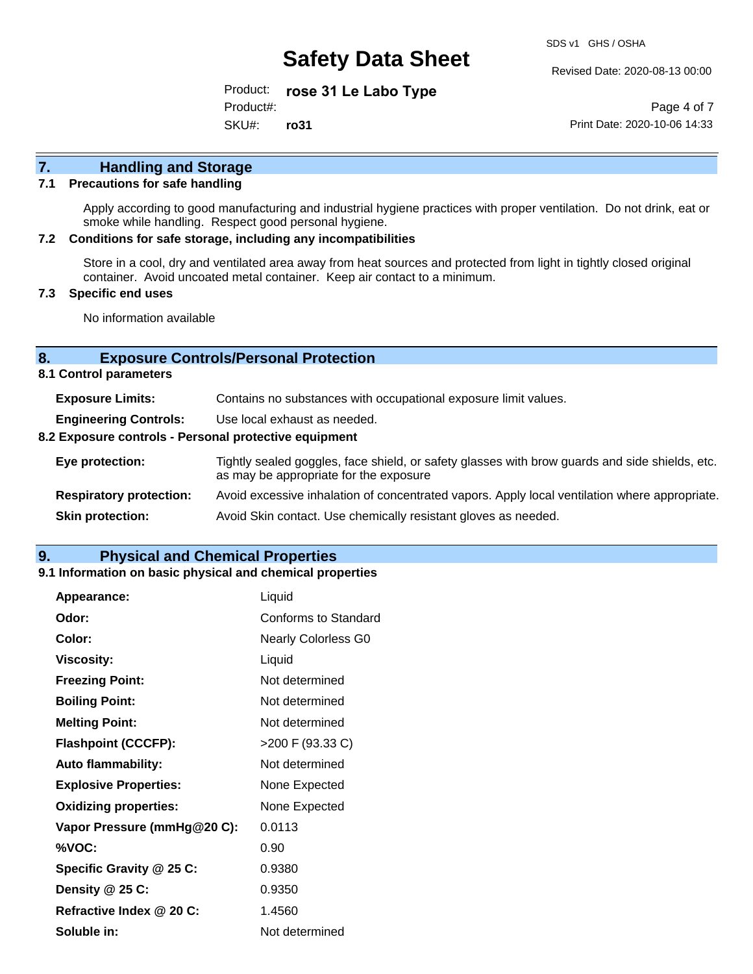Revised Date: 2020-08-13 00:00

Product: **rose 31 Le Labo Type** SKU#: Product#: **ro31**

Page 4 of 7 Print Date: 2020-10-06 14:33

# **7. Handling and Storage**

#### **7.1 Precautions for safe handling**

Apply according to good manufacturing and industrial hygiene practices with proper ventilation. Do not drink, eat or smoke while handling. Respect good personal hygiene.

#### **7.2 Conditions for safe storage, including any incompatibilities**

Store in a cool, dry and ventilated area away from heat sources and protected from light in tightly closed original container. Avoid uncoated metal container. Keep air contact to a minimum.

#### **7.3 Specific end uses**

No information available

#### **8. Exposure Controls/Personal Protection**

**8.1 Control parameters**

| <b>Exposure Limits:</b>                               | Contains no substances with occupational exposure limit values.                                                                          |  |  |
|-------------------------------------------------------|------------------------------------------------------------------------------------------------------------------------------------------|--|--|
| <b>Engineering Controls:</b>                          | Use local exhaust as needed.                                                                                                             |  |  |
| 8.2 Exposure controls - Personal protective equipment |                                                                                                                                          |  |  |
| Eye protection:                                       | Tightly sealed goggles, face shield, or safety glasses with brow guards and side shields, etc.<br>as may be appropriate for the exposure |  |  |
| <b>Respiratory protection:</b>                        | Avoid excessive inhalation of concentrated vapors. Apply local ventilation where appropriate.                                            |  |  |
| <b>Skin protection:</b>                               | Avoid Skin contact. Use chemically resistant gloves as needed.                                                                           |  |  |

### **9. Physical and Chemical Properties**

#### **9.1 Information on basic physical and chemical properties**

| <b>Appearance:</b>           | Liquid                     |
|------------------------------|----------------------------|
| Odor:                        | Conforms to Standard       |
| Color:                       | <b>Nearly Colorless G0</b> |
| <b>Viscosity:</b>            | Liquid                     |
| <b>Freezing Point:</b>       | Not determined             |
| <b>Boiling Point:</b>        | Not determined             |
| <b>Melting Point:</b>        | Not determined             |
| <b>Flashpoint (CCCFP):</b>   | >200 F (93.33 C)           |
| <b>Auto flammability:</b>    | Not determined             |
| <b>Explosive Properties:</b> | None Expected              |
| <b>Oxidizing properties:</b> | None Expected              |
| Vapor Pressure (mmHg@20 C):  | 0.0113                     |
| %VOC:                        | 0.90                       |
| Specific Gravity @ 25 C:     | 0.9380                     |
| Density @ 25 C:              | 0.9350                     |
| Refractive Index @ 20 C:     | 1.4560                     |
| Soluble in:                  | Not determined             |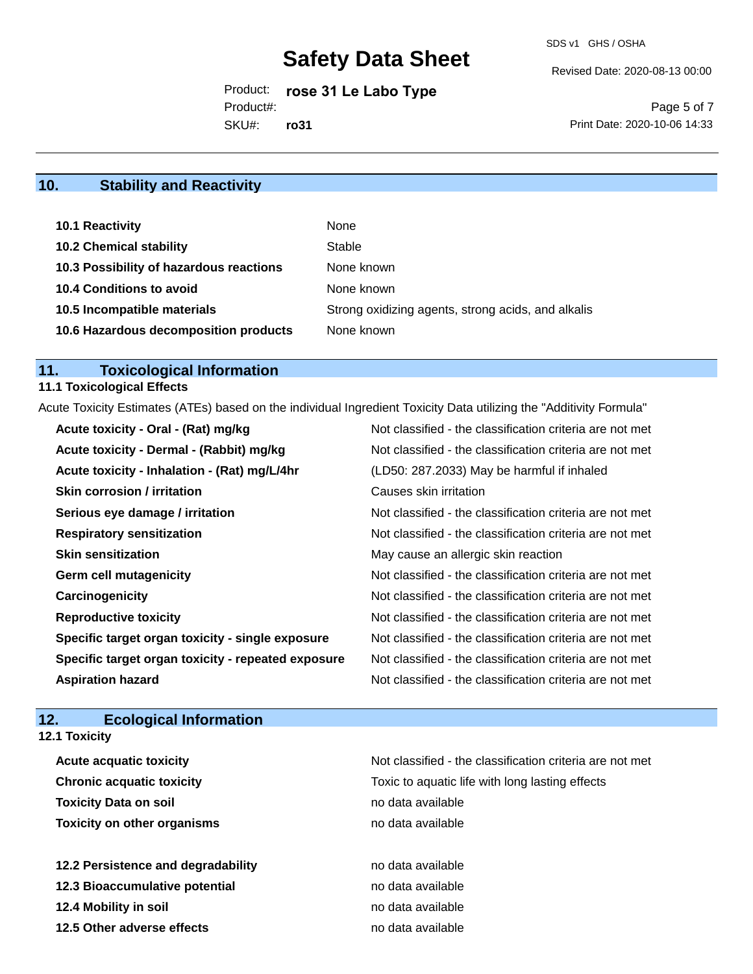Revised Date: 2020-08-13 00:00

Product: **rose 31 Le Labo Type** SKU#: Product#: **ro31**

Page 5 of 7 Print Date: 2020-10-06 14:33

## **10. Stability and Reactivity**

| 10.1 Reactivity                         | None                                               |
|-----------------------------------------|----------------------------------------------------|
| <b>10.2 Chemical stability</b>          | Stable                                             |
| 10.3 Possibility of hazardous reactions | None known                                         |
| <b>10.4 Conditions to avoid</b>         | None known                                         |
| 10.5 Incompatible materials             | Strong oxidizing agents, strong acids, and alkalis |
| 10.6 Hazardous decomposition products   | None known                                         |

# **11. Toxicological Information**

### **11.1 Toxicological Effects**

Acute Toxicity Estimates (ATEs) based on the individual Ingredient Toxicity Data utilizing the "Additivity Formula"

| Acute toxicity - Oral - (Rat) mg/kg                | Not classified - the classification criteria are not met |
|----------------------------------------------------|----------------------------------------------------------|
| Acute toxicity - Dermal - (Rabbit) mg/kg           | Not classified - the classification criteria are not met |
| Acute toxicity - Inhalation - (Rat) mg/L/4hr       | (LD50: 287.2033) May be harmful if inhaled               |
| <b>Skin corrosion / irritation</b>                 | Causes skin irritation                                   |
| Serious eye damage / irritation                    | Not classified - the classification criteria are not met |
| <b>Respiratory sensitization</b>                   | Not classified - the classification criteria are not met |
| <b>Skin sensitization</b>                          | May cause an allergic skin reaction                      |
| <b>Germ cell mutagenicity</b>                      | Not classified - the classification criteria are not met |
| Carcinogenicity                                    | Not classified - the classification criteria are not met |
| <b>Reproductive toxicity</b>                       | Not classified - the classification criteria are not met |
| Specific target organ toxicity - single exposure   | Not classified - the classification criteria are not met |
| Specific target organ toxicity - repeated exposure | Not classified - the classification criteria are not met |
| <b>Aspiration hazard</b>                           | Not classified - the classification criteria are not met |

## **12. Ecological Information**

**12.1 Toxicity**

| <b>Acute acquatic toxicity</b>     | Not classified - the classification criteria are not met |
|------------------------------------|----------------------------------------------------------|
| <b>Chronic acquatic toxicity</b>   | Toxic to aquatic life with long lasting effects          |
| <b>Toxicity Data on soil</b>       | no data available                                        |
| <b>Toxicity on other organisms</b> | no data available                                        |
|                                    |                                                          |
| 12.2 Persistence and degradability | no data available                                        |
| 12.3 Bioaccumulative potential     | no data available                                        |
| 12.4 Mobility in soil              | no data available                                        |
| 12.5 Other adverse effects         | no data available                                        |
|                                    |                                                          |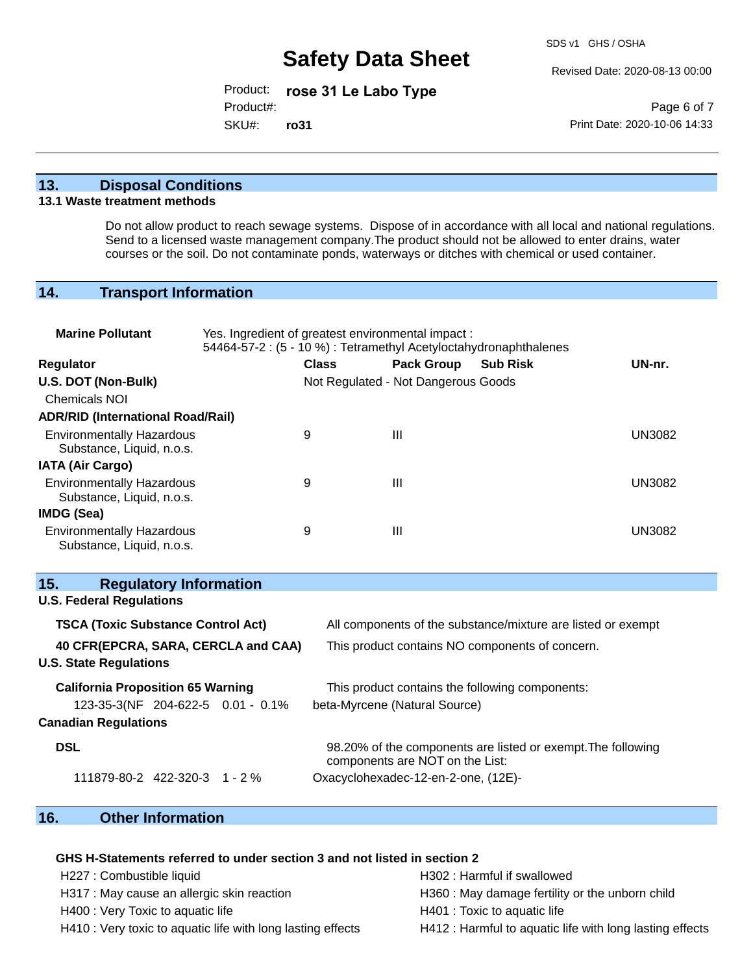Revised Date: 2020-08-13 00:00

Product: **rose 31 Le Labo Type** SKU#: Product#: **ro31**

Page 6 of 7 Print Date: 2020-10-06 14:33

### **13. Disposal Conditions**

#### **13.1 Waste treatment methods**

Do not allow product to reach sewage systems. Dispose of in accordance with all local and national regulations. Send to a licensed waste management company.The product should not be allowed to enter drains, water courses or the soil. Do not contaminate ponds, waterways or ditches with chemical or used container.

### **14. Transport Information**

| <b>Marine Pollutant</b>                                       | Yes. Ingredient of greatest environmental impact:<br>54464-57-2 : (5 - 10 %) : Tetramethyl Acetyloctahydronaphthalenes |              |                                     |                                                              |               |
|---------------------------------------------------------------|------------------------------------------------------------------------------------------------------------------------|--------------|-------------------------------------|--------------------------------------------------------------|---------------|
| Regulator                                                     |                                                                                                                        | <b>Class</b> | <b>Pack Group</b>                   | <b>Sub Risk</b>                                              | UN-nr.        |
| U.S. DOT (Non-Bulk)                                           |                                                                                                                        |              | Not Regulated - Not Dangerous Goods |                                                              |               |
| Chemicals NOI                                                 |                                                                                                                        |              |                                     |                                                              |               |
| <b>ADR/RID (International Road/Rail)</b>                      |                                                                                                                        |              |                                     |                                                              |               |
| <b>Environmentally Hazardous</b><br>Substance, Liquid, n.o.s. |                                                                                                                        | 9            | Ш                                   |                                                              | <b>UN3082</b> |
| <b>IATA (Air Cargo)</b>                                       |                                                                                                                        |              |                                     |                                                              |               |
| <b>Environmentally Hazardous</b><br>Substance, Liquid, n.o.s. |                                                                                                                        | 9            | Ш                                   |                                                              | <b>UN3082</b> |
| IMDG (Sea)                                                    |                                                                                                                        |              |                                     |                                                              |               |
| <b>Environmentally Hazardous</b><br>Substance, Liquid, n.o.s. |                                                                                                                        | 9            | III                                 |                                                              | <b>UN3082</b> |
| 15.<br><b>Regulatory Information</b>                          |                                                                                                                        |              |                                     |                                                              |               |
| <b>U.S. Federal Regulations</b>                               |                                                                                                                        |              |                                     |                                                              |               |
| <b>TSCA (Toxic Substance Control Act)</b>                     |                                                                                                                        |              |                                     | All components of the substance/mixture are listed or exempt |               |
| 40 CFR(EPCRA, SARA, CERCLA and CAA)                           |                                                                                                                        |              |                                     | This product contains NO components of concern.              |               |
| <b>U.S. State Regulations</b>                                 |                                                                                                                        |              |                                     |                                                              |               |
| <b>California Proposition 65 Warning</b>                      |                                                                                                                        |              |                                     | This product contains the following components:              |               |
| 123-35-3(NF 204-622-5 0.01 - 0.1%                             |                                                                                                                        |              | beta-Myrcene (Natural Source)       |                                                              |               |
| <b>Canadian Regulations</b>                                   |                                                                                                                        |              |                                     |                                                              |               |
| <b>DSL</b>                                                    |                                                                                                                        |              | components are NOT on the List:     | 98.20% of the components are listed or exempt. The following |               |
| 111879-80-2 422-320-3 1 - 2 %                                 |                                                                                                                        |              | Oxacyclohexadec-12-en-2-one, (12E)- |                                                              |               |

## **16. Other Information**

#### **GHS H-Statements referred to under section 3 and not listed in section 2**

H227 : Combustible liquid de a series and H302 : Harmful if swallowed H317 : May cause an allergic skin reaction H400 : Very Toxic to aquatic life

H410 : Very toxic to aquatic life with long lasting effects

| H360 : May damage fertility or the unborn child          |
|----------------------------------------------------------|
| H401 : Toxic to aquatic life                             |
| H412 : Harmful to aquatic life with long lasting effects |